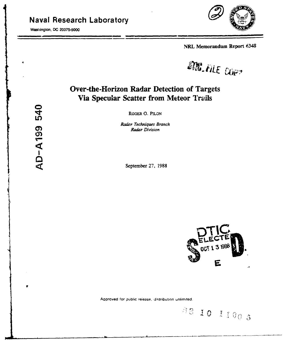# **Naval Research Laboratory**

Washington, DC 20375-5000



NRL Memorandum Report 6348

DIN. FILE COP?

# **Over-the-Horizon Radar Detection of Targets** Via Specular Scatter from Meteor Trails

ROGER O. PILON

Radar Techniques Branch **Radar Division** 

September 27, 1988



88 10 1100 5

Approved for public release, distribution unlimited.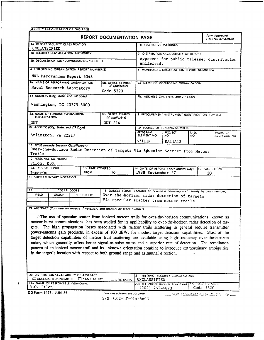SECURITY CLASSIFICATION OF **THIS PAGE**

| <b>REPORT DOCUMENTATION PAGE</b>                                                                                                                                                                                              |                                                              |                                                                                             |                                                                                                                                                                             | Form Approved<br>OMB No. 0704-0188                      |                |      |                                             |
|-------------------------------------------------------------------------------------------------------------------------------------------------------------------------------------------------------------------------------|--------------------------------------------------------------|---------------------------------------------------------------------------------------------|-----------------------------------------------------------------------------------------------------------------------------------------------------------------------------|---------------------------------------------------------|----------------|------|---------------------------------------------|
| 1a. REPORT SECURITY CLASSIFICATION                                                                                                                                                                                            |                                                              |                                                                                             |                                                                                                                                                                             | <b>1b. RESTRICTIVE MARKINGS</b>                         |                |      |                                             |
|                                                                                                                                                                                                                               | <b>UNCLASSIFIED</b><br>2a. SECURITY CLASSIFICATION AUTHORITY |                                                                                             |                                                                                                                                                                             | 3 DISTRIBUTION/AVAILABILITY OF REPORT                   |                |      |                                             |
| 2b. DECLASSIFICATION/DOWNGRADING SCHEDULE                                                                                                                                                                                     |                                                              |                                                                                             |                                                                                                                                                                             | Approved for public release; distribution<br>unlimited. |                |      |                                             |
|                                                                                                                                                                                                                               |                                                              | 4. PERFORMING ORGANIZATION REPORT NUMBER(S)                                                 |                                                                                                                                                                             | 5. MONITORING ORGANIZATION REPORT NUMBER(S)             |                |      |                                             |
|                                                                                                                                                                                                                               |                                                              | NRL Memorandum Report 6348                                                                  |                                                                                                                                                                             |                                                         |                |      |                                             |
|                                                                                                                                                                                                                               |                                                              | 6a. NAME OF PERFORMING ORGANIZATION                                                         | 6b. OFFICE SYMBOL<br>(If applicable)                                                                                                                                        | 7a. NAME OF MONITORING ORGANIZATION                     |                |      |                                             |
|                                                                                                                                                                                                                               |                                                              | Naval Research Laboratory                                                                   | Code 5320                                                                                                                                                                   |                                                         |                |      |                                             |
|                                                                                                                                                                                                                               | 6c. ADDRESS (City, State, and ZIP Code)                      |                                                                                             |                                                                                                                                                                             | 7b. ADDRESS (City, State, and ZIP Code)                 |                |      |                                             |
|                                                                                                                                                                                                                               |                                                              | Washington, DC 20375-5000                                                                   |                                                                                                                                                                             |                                                         |                |      |                                             |
| <b>ORGANIZATION</b>                                                                                                                                                                                                           | 8a. NAME OF FUNDING / SPONSORING                             |                                                                                             | <b>8b. OFFICE SYMBOL</b><br>(If applicable)                                                                                                                                 | 9. PROCUREMENT INSTRUMENT IDENTIFICATION NUMBER         |                |      |                                             |
| <b>ONT</b>                                                                                                                                                                                                                    | 8c. ADDRESS (City, State, and ZIP Code)                      |                                                                                             | ONT 214                                                                                                                                                                     |                                                         |                |      |                                             |
|                                                                                                                                                                                                                               |                                                              |                                                                                             |                                                                                                                                                                             | 10. SOURCE OF FUNDING NUMBERS<br>PROGRAM                | <b>PROJECT</b> | TASK | WORK UNIT                                   |
|                                                                                                                                                                                                                               | Arlington, VA 22217                                          |                                                                                             |                                                                                                                                                                             | ELEMENT NO                                              | NO.            | NO.  | ACCESSION NO                                |
|                                                                                                                                                                                                                               | 11. TITLE (Include Security Classification)                  |                                                                                             |                                                                                                                                                                             | 6211IN                                                  | RAIlAI2        |      |                                             |
|                                                                                                                                                                                                                               |                                                              |                                                                                             | Over-the-Horizon Radar Detection of Targets Via Specular Scatter from Meteor                                                                                                |                                                         |                |      |                                             |
| Trails<br>12. PERSONAL AUTHOR(S)                                                                                                                                                                                              |                                                              |                                                                                             |                                                                                                                                                                             |                                                         |                |      |                                             |
| Pilon, R.O.                                                                                                                                                                                                                   |                                                              |                                                                                             |                                                                                                                                                                             |                                                         |                |      |                                             |
| 13a. TYPE OF REPORT                                                                                                                                                                                                           |                                                              | <b>13b. TIME COVERED</b>                                                                    |                                                                                                                                                                             | 14. DATE OF REPORT (Year, Month, Day)                   |                |      | 15 PAGE COUNT                               |
| Interim                                                                                                                                                                                                                       |                                                              | <b>FROM</b>                                                                                 | TO                                                                                                                                                                          | 1988 September 27                                       |                |      | 20                                          |
|                                                                                                                                                                                                                               | 16. SUPPLEMENTARY NOTATION                                   |                                                                                             |                                                                                                                                                                             |                                                         |                |      |                                             |
|                                                                                                                                                                                                                               |                                                              |                                                                                             |                                                                                                                                                                             |                                                         |                |      |                                             |
| 17.                                                                                                                                                                                                                           | <b>COSATI CODES</b>                                          |                                                                                             | 18. SUBJECT TERMS (Continue on reverse if necessary and identify by block number)<br>Over-the-horizon radar detection of targets<br>Via specular scatter from meteor trails |                                                         |                |      |                                             |
| <b>FIELD</b>                                                                                                                                                                                                                  | <b>GROUP</b>                                                 | <b>SUB-GROUP</b>                                                                            |                                                                                                                                                                             |                                                         |                |      |                                             |
|                                                                                                                                                                                                                               |                                                              |                                                                                             |                                                                                                                                                                             |                                                         |                |      |                                             |
|                                                                                                                                                                                                                               |                                                              |                                                                                             | 19 ABSTRACT (Continue on reverse if necessary and identify by block number)                                                                                                 |                                                         |                |      |                                             |
|                                                                                                                                                                                                                               |                                                              |                                                                                             | The use of specular scatter from ionized meteor trails for over-the-horizon communications, known as                                                                        |                                                         |                |      |                                             |
|                                                                                                                                                                                                                               |                                                              |                                                                                             | meteor burst communications, has been studied for its applicability to over-the-horizon radar detection of tar-                                                             |                                                         |                |      |                                             |
|                                                                                                                                                                                                                               |                                                              |                                                                                             | gets. The high propagation losses associated with meteor trails scattering in general require transmitter                                                                   |                                                         |                |      |                                             |
|                                                                                                                                                                                                                               |                                                              |                                                                                             | power-antenna gain products, in excess of 100 dBW, for modest target detection capabilities. Most of the                                                                    |                                                         |                |      |                                             |
|                                                                                                                                                                                                                               |                                                              |                                                                                             |                                                                                                                                                                             |                                                         |                |      |                                             |
| target detection capabilities of meteor trail scattering are available using high-frequency over-the-horizon<br>radar, which generally offers better signal-to-noise ratios and a superior rate of detection. The reradiation |                                                              |                                                                                             |                                                                                                                                                                             |                                                         |                |      |                                             |
| pattern of an ionized meteor trail and its unknown orientation combine to introduce extraordinary ambiguities                                                                                                                 |                                                              |                                                                                             |                                                                                                                                                                             |                                                         |                |      |                                             |
| in the target's location with respect to both ground range and azimuthal direction.                                                                                                                                           |                                                              |                                                                                             |                                                                                                                                                                             |                                                         |                |      |                                             |
|                                                                                                                                                                                                                               |                                                              |                                                                                             |                                                                                                                                                                             |                                                         |                |      |                                             |
|                                                                                                                                                                                                                               |                                                              |                                                                                             |                                                                                                                                                                             |                                                         |                |      |                                             |
|                                                                                                                                                                                                                               |                                                              |                                                                                             |                                                                                                                                                                             |                                                         |                |      |                                             |
|                                                                                                                                                                                                                               |                                                              | 20. DISTRIBUTION / AVAILABILITY OF ABSTRACT<br>UNCLASSIFIED/UNLIMITED <b>CO</b> SAME AS RPT | $\Box$ otic users                                                                                                                                                           | 21 ABSTRACT SECURITY CLASSIFICATION<br>UNCLASSIFIED     |                |      |                                             |
| 22a. NAME OF RESPONSIBLE INDIVIDUAL                                                                                                                                                                                           |                                                              |                                                                                             | 22b TELEPHONE (Include Area Code)   22c Office SYMBOL                                                                                                                       |                                                         |                |      |                                             |
| R.O. Pilon                                                                                                                                                                                                                    |                                                              |                                                                                             |                                                                                                                                                                             | $(202)$ 767–4873                                        |                |      | Code 5320                                   |
| DD Form 1473, JUN 86                                                                                                                                                                                                          |                                                              |                                                                                             | Previous editions are obsolete.                                                                                                                                             |                                                         |                |      | <b>GECURITY CLASSIFICATION OF THIS FAGE</b> |

 $\pmb{\S}$ 

S/N 0102-LF-014-6603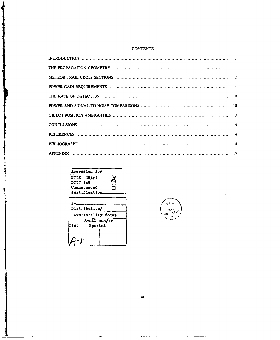## **CONTENTS**



سيران مستقدم من المستقل المستقل



 $\,$ iii

سنفرز

لأنفط

 $\overline{a}$ 

المستحدث

المعداء

 $\sim 100$  km s  $^{-1}$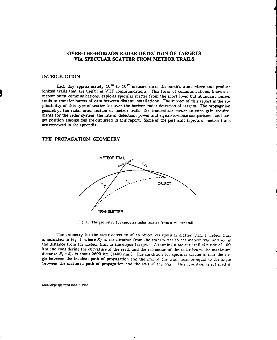# OVER-THE-HORIZON RADAR **DETECTION** OF TARGETS VIA **SPECULAR** SCATTER FROM METEOR TRAILS

## **INTRODUCTION**

Each day approximately 10<sup>10</sup> to 10<sup>12</sup> meteors enter the earth's atmosphere and produce ionized trails that are useful in VHF communications. This form of communications, known as meteor burst communications, exploits specular scatter from the short lived but abundant ionized trails to transfer bursts of data between distant installations. The subject of this report is the applicability of this type of scatter for over-the-horizon radar detection of targets. The propagation geometry. the radar cross section of meteor trails, the transmitter power-antenna gain requirements for the radar system. the rate of detection, power and signal-to-noise comparisons, and target position ambiguities are discussed in this report. Some of the pertincnt aspects of meteor trails are reviewed in the appendix.

### THE PROPAGATION GEOMETRY



Fig. 1. The geometry for specular radar scatter from a methor trail.

The geometry for the radar derecticn of an object via specular scatter from a meteor trail is indicated in Fig. 1. where  $R_r$  is the distance from the transmitter to the meteor trail and  $R_0$  *is* the distance from the meteor trail to the object (target). Assuming a meteor trail altitude of **100** km and considering the curvature of the earth and the refraction of the radar beam. the maximum distance  $R_T + R_O$  is about 2600 km (1400 nmi). The condition for specular scatter is that the angle between the incident path of propagation and the axis of the trail must be equal to the angle between the scattered path of propagation and the axis of the trail. This condition is satisfied if

**Manuscript** approved lune **9. 1988,**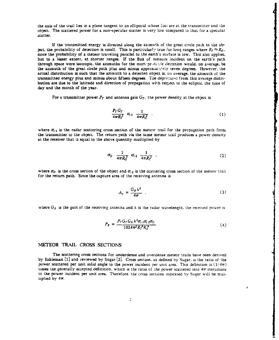the axis of the trail lies in a plane tangent to an ellipsoid whose foci are at the transmitter and the object. The scattered power for a non-specular scatter is very low compared to that for a specular scatter.

If the transmitted energy is directed along the azimuth of the great circle path to the object. the probability of detection is small. This is particularly true for long ranges where  $R_T \approx R_O$ . since the probability of a meteor traveling parallel to the earth's surface is low. This also applies. but to a lesser extent, at shorter ranges. If the flux of meteors incident on the earth's path through space were isotropic, the azimuths for the mort pr. **jb** le detection would, on average, be the azimuth of the great circle path plus and minus approximately seven degrees. However, the actual distribution is such that the azimuth to a detected object is. *wo* average, the azimuth of the transmitted energy plus and minus about fifteen degrees. The departures from this average distribution are due to the latitude and direction of propagation with respect to the ecliptic, the time of day and the month of the year.

For a transmitter power  $P_T$  and antenna gain  $G_T$ , the power density at the object is

$$
\frac{P_T G_T}{4\pi R_T^2} \quad \sigma_{t1} \quad \frac{1}{4\pi R_0^2} \quad . \tag{1}
$$

where  $\sigma_{t,i}$  is the radar scattering cross section of the meteor trail for the propagation path from the transmitter to the object. The return path via the same meteor trail produces a power density at the receiver that is equal to the above quantity multiplied by

$$
\sigma_0 \frac{1}{4\pi R_0^2} \sigma_{t2} \frac{1}{4\pi R_t^2} \ . \tag{2}
$$

where  $\sigma_0$  is the cross section of the object and  $\sigma_{r2}$  is the scattering cross section of the meteor trail for the return path. Since the capture area of the receiving antenna is

$$
A_{\rm c} = \frac{G_R \lambda^2}{4\pi} \tag{3}
$$

where  $G_R$  is the gain of the receiving antenna and  $\lambda$  is the radar wavelength, the received power is

$$
P_R = \frac{P_T G_T G_R \lambda^2 \sigma_{t,1} \sigma_{t,2} \sigma_0}{1024 \pi^5 R_T^4 R_0^4} \tag{4}
$$

#### NMETEOR TRAIL CROSS SECTIONS

The scattering cross sections for underdense and overdense meteor trails have been derived by Eshleman **[(1** and reviewed by Sugar [2]. Cross section. as defined by Sugar. is the ratio of the power scattered per unit solid angle to the power incident per unit area. This definition is  $(1/4\pi)$ times the generally accepted definition, which is the ratio of the power scattered into  $4\pi$  steradians to the power incident per unit area. Therefore, the cross sections indicated by Sugar will be multiplied by  $4\pi$ .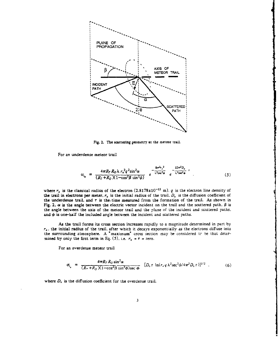

Fig. 2. The scattering geometry at the meteor trail.

For an underdense meteor trail

$$
G_{l_{\mathbf{u}}} = \frac{4\pi R_{T} R_{O} \lambda r_{e}^{2} q^{2} \sin^{2} \alpha}{(R_{T} + R_{O})(1 - \cos^{2} \beta \sin^{2} \alpha)} e^{-\frac{8\pi^{2} r_{o}^{2}}{\lambda^{2} \sec^{2} \phi}} e^{-\frac{32\pi^{2} D_{u}}{\lambda^{2} \sec^{2} \phi}} \tag{5}
$$

where  $r$  is the classical radius of the electron  $(2.8178\times10^{-15} \text{ m})$ . *q* is the electron line density of where  $\ell_e$  is the classical radius of the incredibil  $(2.0179 \text{ AU})$ . If  $\gamma$  is the diffusion coefficient of the trail. *D* is the diffusion coefficient of the underdense trail. and  $\tau$  is the-time measured from the formation of the trail. As shown in Fig. 2.  $\alpha$  is the angle between the electric vector incident on the trail and the scattered path.  $\beta$  is the angle between the axis of the meteor trail and the plane **of** the incident and scattered paths. and  $\phi$  is one-half the included angle between the incident and scattered paths.

As the trail forms its cross section increases rapidly to a magnitude determined in part **by**  $r<sub>o</sub>$ , the initial radius of the trail. after which it decays exponentially as the electrons diffuse into the surrounding atmosphere. A "maximum" cross section may be considered to be that determined by only the first term in Eq. (5), i.e.  $r_0 = r = 2$ ero.

For an overdense meteor trail

$$
\sigma_{t_o} = \frac{4\pi R_T R_O \sin^2 \alpha}{(R_T + R_O)(1 - \cos^2 \beta \sin^2 \phi) \sec \phi} \quad [D_o \tau \ln(r, q \lambda^2 \sec^2 \phi / 4\pi^2 D_o \tau)]^{1/2} \quad . \tag{6}
$$

where  $D_0$  is the diffusion coefficient for the overdense trail.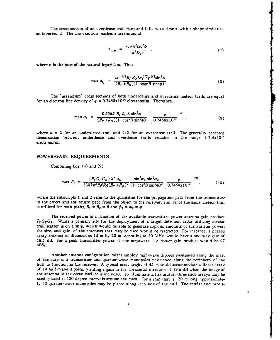The cross section of an overdense trail rises and falls with time  $\tau$  with a shape similar to an inverted U. The cross section reaches a maximum at

$$
\tau_{\max} = \frac{r_{\epsilon} q \lambda^2 \sec^2 \phi}{4\pi^2 D_o e} \quad . \tag{7}
$$

where e is the base of the natural logarithm. Thus.

$$
\max \sigma_{i_o} = \frac{2e^{-1/2}R_T R_O \lambda r_e^{1/2} q^{1/2} \sin^2 \alpha}{(R_T + R_O)(1 - \cos^2 \beta \sin^2 \phi)}
$$
(8)

The "maximum" cross sections of both underdense and overdense meteor trails are equal for an electron line density of  $q = 0.7468 \times 10^{14}$  electrons/m. Therefore.

$$
\max \sigma_t = \frac{0.5565 \ R_T R_O \lambda \sin^2 \alpha}{(R_T + R_O)(1 - \cos^2 \beta \sin^2 \phi)} \left[ \frac{q}{0.7468 \times 10^{14}} \right]^{\kappa} . \tag{9}
$$

where  $\kappa = 2$  for an underdense trail and  $1/2$  for an overdense trail. The generally accepted demarcation between underdense and overdense trails remains in the range  $1-2.4x10^{14}$ electrons/m.

#### POWER-GAIN **REQUIREMENTS**

Combining Eqs. (4) and (9).

$$
\max P_R = \frac{(P_T G_T G_R) \lambda^4 \sigma_0}{3307 \pi^5 R_f^2 R_0^2 (R_T + R_0)^2} \frac{\sin^2 \alpha_1 \sin^2 \alpha_2}{(1 - \cos^2 \beta \sin^2 \phi)^2} \left| \frac{q}{0.7468 \times 10^{14}} \right|^{2K}.
$$
 (10)

where the subscripts 1 and 2 refer to the quantities for the propagation path from the transmitter to the object and The return path from the object to the receiver, and. since the same meteor trail is utilized for both paths.  $\beta_1 = \beta_2 = \beta$  and  $\phi_1 = \phi_2 = \phi$ .

The received power is a function of the available transmitter power-antenna gain product  $P_T G_T G_R$ . While a primary site for the deployment of a target detection radar utilizing meteor trail scatter is on a ship, which would be able to generate copious amounts of transmitter power. the size. and gain. of the antennas that may be used would be restricted. For instance, a phased array antenna of dimensions 10 m by 20 m, operating at 50 MHz, would have a one-way gain of 18.5 dB. For a peak transmitter power of one megawatt. the power-gain product would be 97 dBW.

Another antenna configuration might employ half-wave dipoles positioned along the mast of the ship as a transmitter and quarter-wave monopoles positioned along the periphery of the hull to function as the receiver. A typical mast height of 45 m could accommodate a linear array of 14 half-wave dipoles. yielding a gain in the horizontal direction of 19.6 dB when the image of the antenna in the ocean surface is included. To illuminate all azimuths. three such arrays may be used. placed at 120 degree intervals around the mast. For a ship that is 120 m long approximately 40 quarter-wave monopoles may be placed along each side of the hull. The endfire and broad-

 $\ddot{z}$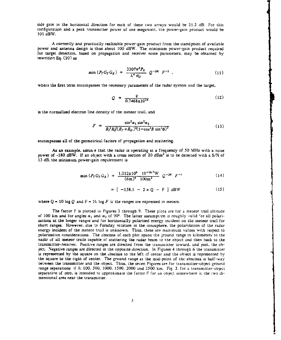side gain in the horizontal direction for each of these two arrays would be 21.2 dB. For this configuration and a peak transmitter power of one megawatt. the power-gain product would be 101 dBW.

A currently and practically realizable power-gain product from the standpoint of available power and antenna design is thus about 100 dBW. The minimum power-gain product required for target detection, based on propagation and receiver noise parameters. may be obtained by rewritin'. **Eq. (10)** as

$$
\min\left(P_T G_T G_R\right) = \frac{3307\pi^5 P_R}{\lambda^4 \sigma_0} Q^{-2K} F^{-1} \quad . \tag{11}
$$

where the first term encompasses the necessary parameters of the radar system and the target,

$$
Q = \frac{q}{0.7468 \times 10^{14}}
$$
 (12)

is the normalized electron line density of the meteor trail, and

$$
F = \frac{\sin^2 \alpha_1 \sin^2 \alpha_2}{R_f^2 R_o^2 (R_T + R_o)^2 (1 - \cos^2 \beta \sin^2 \phi)^2}
$$
(13)

encompasses all of the geometrical factors of propagation and scattering.

As an example, assun-e that the radar is operating at a frequency of 50 MHz with a noise power of -180 dBW. If an object with a cross section of 20 dBm<sup>2</sup> is to be detected with a S/N of 13 dB, the minimum power-gain requirement is

$$
\min\left(P_T G_T G_R\right) = \frac{1.012 \times 10^6 \ 10^{-16.7} \text{W}}{(6 \text{m})^4 \ 100 \text{m}^2} \ Q^{-2K} \ F^{-1} \tag{14}
$$

$$
= [-158.1 - 2 \times Q - F ] dBW
$$
 (15)

where  $Q = 10 \log Q$  and  $F = 16 \log F$  if the ranges are expressed in meters.

The factor F is plotted in Figures 3 through 9. These plots are for a meteor trail altitude of 100 km and for angles  $\alpha_1$  and  $\alpha_2$  of 90°. The latter assumption is roughly valid for all polarizations at the longer ranges and for horizontally polarized energy incident on the meteor trail for short ranges. However, due to Faraday rotation in the ionosphere, the polarization of the radar energy incident of the meteor trail is unknown. Thus, these are maximum values with respect to polarization considerations. The abscissa of each plot spans the ground range in kilometers to the nadir of all meteor trails capable of scattering the radar beam to the object and then back to the transmitter-receiver. Positive ranges are directed from the transmitter toward, and past. the ob-. ject. Negative ranges are directed in the opposite direction. In Figures 4 through 6 the transmitter is represented by the square on the abscissa to the left of center and the object is represented by the square to the right of center. The ground range at the mid-point of the abscissa is half-way between the transmitter and the object. Thus, the seven Figures are for transmitter-object ground range separations **ýf** *0.* 100. *5(k.* 1000. 1500. 2000 and **2500** km. Fig. 3. for a transmitter-object separation of zero. is intended to approximate the factor F for an object somewhere ir, the two dimensional area near the transmitter.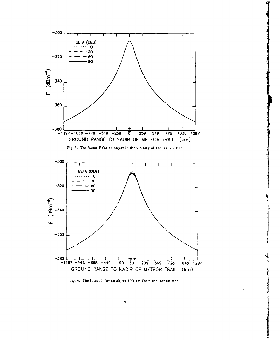

Fig. 4. The factor F for an object 100 km from the transmitter.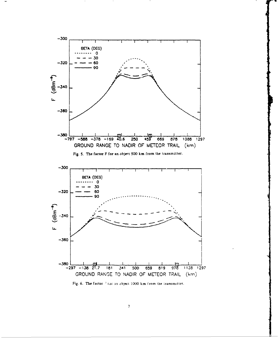

Fig. 6. The factor 7 tox an object 1000 km from the transmitter.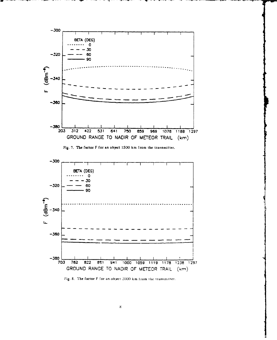

Fig. 7. The factor F for an object **1500** km from the transmitter.



Fig. 8. The factor F for an object 2000 km from the transmitter.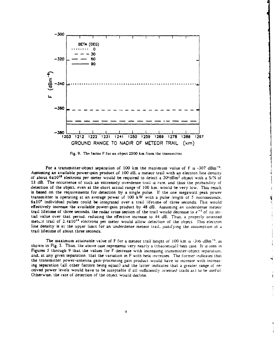

Fig. 9. The factor F for an object 2500 km from the transmitter.

For a transmitter-object separation of 100 km the maximum value of F is -307 dBm<sup>-6</sup>. Assuming an available power-gain product of 100 dB. a meteor trail with an electron line density of about **6xl0<sup>1</sup> 3** electrons per meter would be required to detect a 20-dBm2 object with a S/N of 13 dB. The occurrence of such an extremely overdense trail is rare. and thus the probability of detection of the object, even at the short actual range **of** *100* km. would be very low. This result is based on the requirements for detection by a single pulse. If the one megawatt peak power transmitter is operating at an average power of **100** kW with a pulse length of 5 microseconds. 6x10' individual pulses could be integrated over a trail lifetime of three seconds. This would effectively increase the available power-gain product by 48 dB. Assuming an underdense meteor trail lifetime of three seconds, the radar cross section of the trail would decrease to *e-'* of its initial value over that period, reducing the effective increase to 44 dB. Thus. a properly oriented metter trail of  $2.4 \times 10^{14}$  electrons per meter would allow detection of the object. This electron line density is at the upper limit for an underdense meteor trail, justifying the assumption of a trail lifetime of about three seconds.

The maximum attainable value of F for a meteor trail height of  $100 \text{ km/s} \cdot 306 \text{ dBm}^{-6}$ , as shown in Fig. 3. Thus. the above case represents very nearly a (theoretical) best case. It is seen in Figures **5** through 9 that the values for F decrease with increasing transmitter-object separation. and, at any given separation, that the variation in F with beta increases. The former indicates that the transmitter power-antenna gain-processing gain product would have to increase with increasing separation (all other factors being equal) and the latter indicates that a greater range of received power levels would have to be acceptable if all sufficiently oriented trails are to be useful. Otherwise. the rate of detection of the object would decline.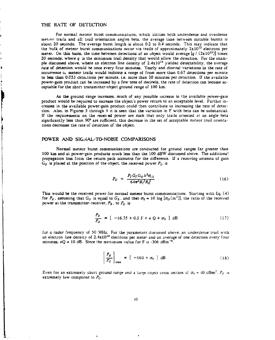## **THE** RATE OF DETECTION

).

þ

Ì

For normal meteor burst communications, which utilizes both underdense and overdense meteor trails and all trail orientation angles beta. the average time between suitable bursts is about 20 seconds. The average burst length is about 0.2 to 0.4 seconds. This may indicate that the bulk of meteor burst communications occur via trails of approximately  $2x10^{13}$  electrons per meter. On this basis, the time between detections of an object would average  $\left[q / (2x10^{13})\right]$  times 20 seconds, where q *is* the minimum trail density that would allow the detection. For the example discussed above, where an electron line density of  $2.4x10^{14}$  yielded detectability, the average rate of detection would be once every four minutes. Yearly and diurnal variations in the rate of occurrence  $\alpha$ , meteor trails would indicate a range of from more than 0.67 detections per minute to less than 0.033 detections per minute. i.e. more than 30 minutes per detection. If the available power-gain product can be increased by a few tens of decihels. the rate of detection can become acceptable for the short transmitter-object ground range of **100** km.

.As the ground range increases, much of any possible increase in the available power-gain product would be required to increase the object's power return to an acceptable level. Further increases in the available power-gain product could \*hen contribute to increasing the rate of detection. Also, in Figures 5 through 9 it is seen that the variation in F with beta can be substantial. If the requirements on the received power are such that only trails oriented at an angle beta significantly less than 90° are sufficient, this decrease in the set of acceptable meteor trail orientations decreases the rate of detection of the object.

### POWER **AND SIGNAL-TO-NOISE COMPARISONS**

Normal meteor burst communications are conducted for ground ranges far greater than **100** km and at power-gain products much less than the **100** dBW discussed above. The additional propagation loss from the return path accounts for the difference. If a receiving antenna of gain  $G<sub>0</sub>$  is placed at the position of the object. the received power  $P<sub>0</sub>$  is

$$
P_O = \frac{P_T G_T G_O \lambda^2 \sigma_{t1}}{64\pi^3 R_T^2 R_O^2} \tag{16}
$$

This would be the received power for normal meteor burst communications. Starting with Eq. (4) for  $P_R$ . assuming that  $G_O$  is equal to  $G_R$ . and that  $\sigma_0 = 10 \log [\sigma_O(m^2)]$ , the ratio of the received power at the transmitter-receiver.  $P_R$ , to  $P_Q$  is

$$
\frac{P_R}{P_O} = [-16.75 + 0.5 \text{ F} + \kappa \text{ Q} + \sigma_0 \text{ ] dB} \qquad (17)
$$

for a radar frequency of 50 MHz. For the parameters discussed above, an underdense trail with an electron line density of  $2.4x10^{14}$  electrons per meter and an average of one detection every four minutes.  $\kappa Q = 10$  dB. Since the maximum value for F is -306 dBm<sup>-6</sup>.

$$
\left(\frac{P_R}{P_O}\right)_{\text{max}} = \left[ -160 + \sigma_0 \right] \text{ dB} \tag{18}
$$

Even for an extremely short ground range and a large object cross section of  $\sigma_0 = 40$  dBm<sup>2</sup>. *P<sub>8</sub>* is extremely low compared to *Po.*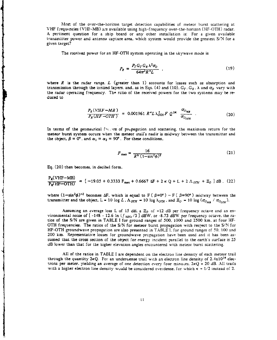Most of the over-the-horizon target detection capabilities of meteor burst scattering at VHF frequencies (VHF-MB) are available using high-frequency over-the-horizon (HF-OTH) radar. A pertinent question for a ship board or any other installation is: For a given available transmitter power and antenna capture area. which system would provide the greatest S/N for a given target?

The received power for an HF-OTH system operating in the skywave mode is

$$
P_R = \frac{P_T G_T G_R \lambda^2 \sigma_0}{64 \pi^2 R^4 L} \tag{19}
$$

where  $R$  is the radar range.  $L$  (greater than 1) accounts for losses such as absorption and transmission through the ionized layers. and. as in Eqs. (4) and (10).  $G_r$ .  $G_R$ .  $\lambda$  and  $\sigma_Q$  vary with the radar operating frequency. The ratio of the received powers for the two systems may be reduced to

$$
\frac{P_R(VHF - MB)}{P_R(HF - OTH)} = 0.001961 R^4 L \lambda_{OTH}^2 F Q^{2K} \frac{\sigma_{O_{MB}}}{\sigma_{O_{OTH}}} \tag{20}
$$

In terms of the geometrical final rs of propagation and scattering, the maximum return for the meteor burst system occurs when the meteor trail's nadir is midway between the transmitter and the object.  $\beta = 0^{\circ}$ , and  $\alpha_1 = \alpha_2 = 90^{\circ}$ . For these conditions.

$$
F_{\max} = \frac{16}{R^6 (1 - \sin^2 \phi)^2}
$$
 (21)

Eq. (20) then becomes, in decibel form.

$$
\frac{P_R(VHF-MB)}{P_R(HF-OTH)} = [-19.05 + 0.3333 F_{max} + 0.6667 \Delta F + 2 \kappa Q + L + 2 \Lambda_{OTH} + \Xi_0] dB. (22)
$$

transmitter and the object. L = 10 log *L.*  $\Lambda_{\text{OTH}}$  = 10 log  $\lambda_{\text{OTH}}$ , and  $\Xi_{\text{O}}$  = 10 log ( $\sigma_{\text{Ooy}}$  /  $\sigma_{\text{Ooy}}$ 

Assuming an average loss L of 15 dB, a  $\mathbb{Z}_0$  of +12 dB per frequency octave and an environmental noise of  $[-148 - 12.6 \ln (f_{MHz}/3]$  dBW. or -8.73 dBW per frequency octave, the ratios of the **S/N** are given in TABLE **I** for ground ranges of 500. 1000 and 2500 km. at four HF-OTH frequencies. The ratios of the S/N for meteor burst propagation with respect to the **S/N** for HF-OTH groundwave propagation are also presented in TABLE I. for ground ranges of 50. 100 and 200 km. Representative losses for groundwave prcpagation have been used and it has been assumed that the cross section of the object for energy incident parallel to the earth's surface is 25 dB lower than that for the higher elevation angles encountered with meteor burst scattering.

All of the ratios in TABLE I are dependent on the electron line density of each meteor trail through the quantity  $2kQ$ . For an undergense trail with an electron line density of  $2.4x10^{14}$  electrons per meter. yielding an average of one detection every four minuces.  $2KQ = 20$  dB. All trails with a higher electron line density would be considered overdense. for which  $\kappa = 1/2$  instead of 2.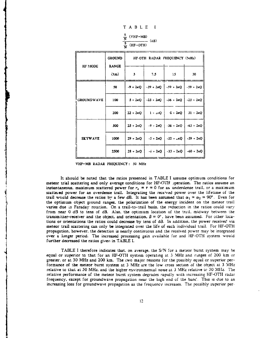|                | $\frac{s}{N}$           | TABLE I<br>$(VHF-MB)$<br>$\frac{1}{\sqrt{5}}$ (HF--OTH) | $\overline{\phantom{a}}$ (dB) |                              |    |
|----------------|-------------------------|---------------------------------------------------------|-------------------------------|------------------------------|----|
|                | <b>GROUND</b>           |                                                         |                               | HF-OTH RADAR FREQUENCY (MHz) |    |
| <b>HF MODE</b> | <b>RANGE</b><br>$(x_m)$ | з                                                       | 7.5                           | 15                           | 30 |
|                |                         |                                                         |                               |                              |    |

GROUNDWAVE  $\begin{vmatrix} 100 & 5 + 2 \kappa Q & -23 + 2 \kappa Q & -36 + 2 \kappa Q & -23 + 2 \kappa Q & -2 \kappa Q & -2 \kappa Q & -2 \kappa Q & -2 \kappa Q & -2 \kappa Q & -2 \kappa Q & -2 \kappa Q & -2 \kappa Q & -2 \kappa Q & -2 \kappa Q & -2 \kappa Q & -2 \kappa Q & -2 \kappa Q & -2 \kappa Q & -2 \kappa Q & -2 \kappa Q & -2 \kappa Q & -2 \kappa Q & -2 \kappa Q & -2 \kappa Q & -2 \kappa Q & -2 \kappa Q & -$ 

 $SKYWAVE$  1000  $29 + 2kQ$   $-5 + 2kQ$   $-32 + kQ$   $-59 + 2kQ$ 

50  $|-9 + 2xQ| -39 + 2kQ| -59 + 2kQ| -59 + 2kQ|$ 

200  $\begin{vmatrix} 22 + 2 \kappa Q & 1 + 2 \kappa Q & 31 + 2 \kappa Q \end{vmatrix}$ 

500  $\int 25 + 2x\sqrt{9} - 9 + 2x\sqrt{9} - 36 + 2x\sqrt{9} - 63 + 2x\sqrt{9}$ 

 $2500$   $28 + 2 \times 0$   $-6 + 2 \times 0$   $-33 + 2 \times 0$   $-60 + 2 \times 0$ 

|  | VHF-MB RADAR FREQUENCY: 50 MHz |  |  |
|--|--------------------------------|--|--|

It should be noted that the ratios presented in TABLE I assume optimum conditions for meteor trial scattering and only average conditions for HF-OTH operation. The ratios assume an instantaneous, maximum scattered power for  $r<sub>o</sub> = r = 0$  for an underdense trail, or a maximum scattered power for an overdense trail. Integrating the received power over the lifetime of the trail would decrease the ratios by a few dB. It has been assumed that  $\alpha_1 = \alpha_2 = 90^\circ$ . Even for the optimum object ground ranges. the polarization of the energy incident on the meteor trail varies due to Faraday rotation. On a trail-to-trail basis, the reduction in the ratios could vary from near 0 dB to tens of dB. Also, the optimum location of the trail, midway between the transmitter-receiver and the object. and orientation.  $\beta = 0^{\circ}$ , have been assumed. For other locations or orientations the ratios could decrease by tens of **d3.** In addition, the power received via meteor trail scattering can only be integrated over the life of each individual trail. For HF-OTH propagation, however, the detection is nearly continuous and the received power may be integrated over a longer period. The increased processing gain available for and HF-OTH system would further decreased the ratios given in TABLE I.

TABLE I therefore indicates that. on average, the S/N for a meteor burst system may be equal or sxuperior to that for an HF-OTH system operating at 3 MHz and ranges of 200 km or greater, or at 30 MHz and 200 km. The two major reasons for the possibly equal or superior performance of the meteor burst system at 3 MHz are the low cross section of the object at 3 MHz relative to that at 50 MHz, and the higher environmental noise at 3 MHz relative to 50 MHz. The relative performance of the meteor burst system degrades rapidly with increasing HF-OTH radar frequency, except for groundwave propagation near the high end of the banrc, This is due to an increasing loss for groundwave propagation as the frequency increases. The possibly superior per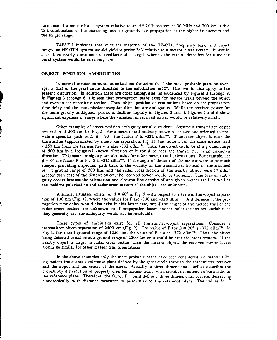formance of a meteor bu st system relative to an HF-OTH system at 30 MHz and 200 km is due to a combination of the increasing loss for groundwave propagation at the higher frequencies and the longer range.

TABLE I indicates that over the majority of the HF-OTH frequency band and object ranges. an HF-OTH system would yield superior S/N relative to a meteor burst system. It wnuld also allow nearly continuous surveillance of a target. whereas the rate of detection for a meteor burst system would be relatively low.

## **OBJECT** POSITION **AMBIGUITIES**

In normal meteor burst communications the azimuth of the most probable path. on average. is that of the great circle direction to the installation  $\pm 15^\circ$ . This would also apply to the present discussion. In addition there are other ambiguities. as evidenced by Figures 3 through 9. In Figures 3 through 6 it is seen **that** propagation paths exist for meteor trails beyond the object and even in the opposite direction. Thus, object position determinations based on the propagation time delay and the transmission-reception direction are ambiguous. While the received power for the more grossly ambiguous positions declines rapioly in Figures 3 and 4. Figures 5 and 6 show significant expanses in range where the variation in received power would be relatively small.

Other examples of object position ambiguity are also evident. Assume a transmitter-object separation of **500** km. i.e. Fig. 5. For a meteor trail midway between the twc and oriented to provide a specular path with  $\beta = 90^{\circ}$ , the factor F is -332 dBm<sup>-6</sup>. If another object is near the transmitter (approximated by a zero km separation. Fig. **3).** the factor F for the same meteor trail  $-$  250 km from the transmitter  $-$  is also  $-332$  dBm<sup> $-6$ </sup>. Thus, the object could be at a ground range of 500 km in a (roughly) known d:rection or it could be near the transmitter in an unknown direction. This same ambiguity can also exist for other meteor trail orientations. For example, for  $\beta = 0^{\circ}$  the factor F in Fig. 5 is -315 dBm<sup>-6</sup>. If the angle of descent of the meteor were to be much steeper. providing a specular path back to the vicinity of the transmitter instead of the assumed ot at ground range of 500 km, and the radar cross section of the nearby object were 17 dBm<sup>2</sup> greater than that of the distant object. the received power would be the same. This type of ambiguity occurs because the orientation and electron line density of any given meteor trail, as well as the incident polarization and radar cross section of the object. are unknown.

A similar situation exists for  $\beta = 60^{\circ}$  in Fig. 5 with respect to a transmitter-object separation of 100 km (Fig. 4). where the values for F are -330 and -328 dBm<sup>-6</sup>. A difference in the propagation time delay would also exist in this latter case. but if the height of the meteor trail or the radar cross sections are unknown, or if propagation losses and/or polarizations are variable, as they generally arc, the ambiguity would not be resolvable.

These types of ambiuities exist for all transmitter-object separations. Consider a transmitter-object separation of 2500 km (Fig. 9). The value of F for  $\beta = 90^\circ$  is -372 dBm<sup>-6</sup>. In Fig. 3. for a trail ground range of 1250 km. the value of F is also -372 dBm-6. Thus, the object being detected could be at a ground range of 2500 km or it could be near the radar system. If the nearby object is larger in radar cross section than the distant object, the received power leveis would be similar for other meteor trail orientations.

In the above examples only the most probable paths have been considered. i.e. paths utilizing meteor trails near a reference plane defined by the great circle through the transmitter-receiver and the object and the center of the earth. Actually. a three dimensional surface describes the probability distribution of properly oriented meteor trails, with significant extent on both sides of the reference plane. Therefore, the factor F would define **a** three dimensional surface. decreasing monotonically with distance moeasured perpendicular to the reference plane. The values for **F**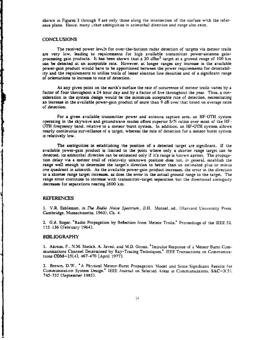shown in Figures 3 through 9 are only those along the intersection of the surface with the reference plane. Hence, many other ambiguities in azimuthal direction and range also exist.

### **CONCLUSIONS**

The received power levels for over-the-horizon radar detection of targets via meteor trails are very low, leading to requirements for high available transmitter power-antenna gainprocessing gain products. It has been shown that a 20 dBm2 target at a ground range of **100** km can be detected at an acceptable rate. However, at longer ranges any increase in the available power-gain product would have to be apportioned between the power requirements for detectability and the requirements to utilize trails of lesser electron line densities and of a significant range of orientations to increase to rate of detection.

At any given point on the earth's surface the rate of occurrence of meteor trails varies by a factor of four throughout a 24 hour day and by a factor of five throughout the year. Thus. a consideration in the system design would be the minimum acceptable rate of detection, necessitating an increase in the available power-gain product of more than 9 dB over that based on average rates of detection.

For a given available transmitter power and antenna capture area. an HF-OTH system operating in the skywave and groundwave modes offers superior S/N ratios over most of the HF-OTH frequency band. relative to a meteor burst system. In addition, an HF-OTH system allows nearly continuous surveillance of a target. whereas the rate of detection for a meteor burst system is relatively low.

The ambiguities in establishing the position of a detected target are significant. If the available power-gain product is limited to the point where only a shorter range target can be detected, its azimuthal direction can be estimated only if it's range is known apriori. The propagation delay via a meteor trail of relatively unknown position does not. in general. establish the range well enough to determine the target's direction to better than an estimated plus or minus one quadrant in azimuth. As the available power-gain product increases, the error in the direction to a shorter range target increases, as does the error in the actual ground range to the target. The range error continues to increase with transmitter-target separation but the directional ambiguity decreases for separations nearing 2600 km.

#### REFERENCES

**1.** V.R. Eshleman. in *The Radio Noise Spectrum.* D.H. Menzel. ed.. (Harvard University Press. Cambridge. Massachusetts. 1960), Ch. 4.

**116-136** (February 1964).

## BIBLIOGRAPHY

1. Akram, F.. N.M. Sheikh. A. Javed. and M.D. Grossi. "Impulse Response of a Meteor Burst Communications Channel Determined by Ray-Tracing Techniques." IEEE Transactions on Communications COM-25(4). 467-470 (April 1977).

2. Brown. D.W.. **"A** Physical Meteor-Burst Propagation Model and Some Significant Results for Communication System Design.\* IEEE Journal on Selected Areas in Communications. SAC-3(5). 745-755 (September 1985).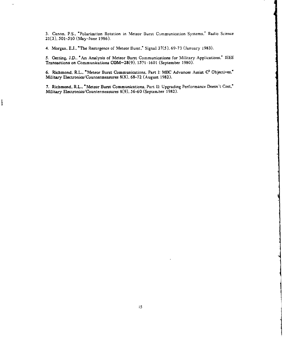3. Canon. P.S., "Polarization Rotation in Meteor Burst Communication Systems.' Radio Science 21(3). 501-510 (May-June 1986).

4. Morgan. E.J.. "The Resurgence of Meteor Burst." Signal 37(5). 69-73 (January 1983).

١

5. Oetting. J.D., "An Analysis of Meteor Burst Communications for Military Applications." IEEE Transactions on Communications COM-28(9). 1591-1601 (September 1980).

6. Richmond. R.L.. "Meteor Burst Communications. Part I: MBC Advances Assist **C3** Objectives." Military Electronics/Countermeasures 8(8). 68-72 (August 1982).

7. Richmond. R.L.. "Meteor Burst Communications. Part II: Upgrading Performance Doesn't Cost." Military Electronics/Countermeasures 8(9). 56-60 (September 1982).